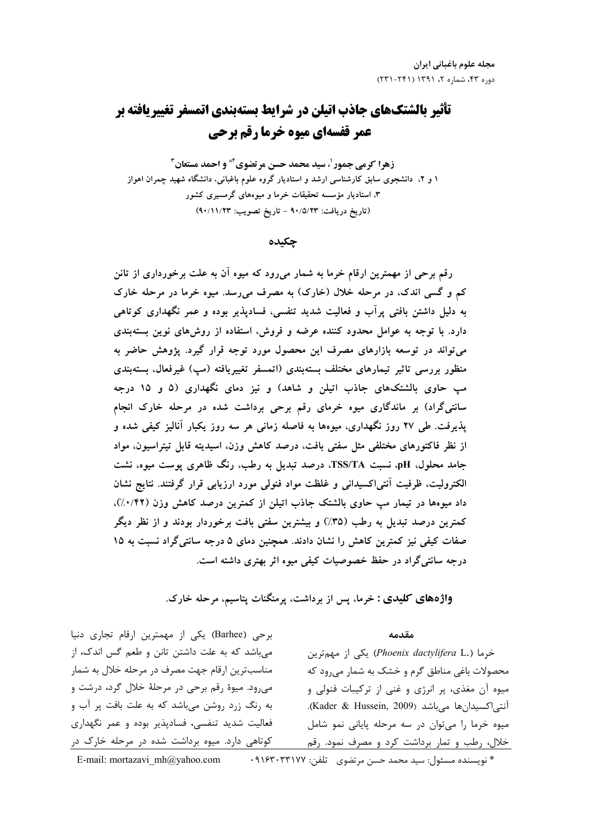# تأثیر بالشتکهای جاذب اتیلن در شرایط بستهبندی اتمسفر تغییریافته بر عمر قفسهای میوه خرما رقم برحی

زهرا کرمی جمور<sup>1</sup>، سید محمد حسن مرتضوی<sup>2</sup> و احمد مستعان<sup>2</sup> ۱ و ۲، دانشجوی سابق کارشناسی ارشد و استادیار گروه علوم باغبانی، دانشگاه شهید چمران اهواز ۳، استادیار مؤسسه تحقیقات خرما و میوههای گرمسیری کشور (تاريخ دريافت: ٩٠/٥/٢٣ - تاريخ تصويب: ٩٠/١١/٢٣)

### چکىدە

رقم برحی از مهمترین ارقام خرما به شمار میرود که میوه آن به علت برخورداری از تانن کم و گسی اندک، در مرحله خلال (خارک) به مصرف می رسد. میوه خرما در مرحله خارک به دلیل داشتن بافتی پرآب و فعالیت شدید تنفسی، فسادیذیر بوده و عمر نگهداری کوتاهی دارد. با توجه به عوامل محدود کننده عرضه و فروش، استفاده از روشهای نوین بستهبندی می تواند در توسعه بازارهای مصرف این محصول مورد توجه قرار گیرد. پژوهش حاضر به منظور بررسی تاثیر تیمارهای مختلف بستهبندی (اتمسفر تغییریافته (مپ) غیرفعال، بستهبندی مب حاوی بالشتکهای جاذب اتیلن و شاهد) و نیز دمای نگهداری (۵ و ۱۵ درجه سانتیگراد) بر ماندگاری میوه خرمای رقم برحی برداشت شده در مرحله خارک انجام پذیرفت. طی ۲۷ روز نگهداری، میوهها به فاصله زمانی هر سه روز یکبار آنالیز کیفی شده و از نظر فاکتورهای مختلفی مثل سفتی بافت، درصد کاهش وزن، اسیدیته قابل تیتراسیون، مواد جامد محلول، pH، نسبت TSS/TA، درصد تبدیل به رطب، رنگ ظاهری یوست میوه، نشت الكتروليت، ظرفيت آنتي|كسيداني و غلظت مواد فنولي مورد ارزيابي قرار گرفتند. نتايج نشان داد میوهها در تیمار مب حاوی بالشتک جاذب اتیلن از کمترین درصد کاهش وزن (۰/۴۲٪). کمترین درصد تبدیل به رطب (٣۵٪) و بیشترین سفتی بافت برخوردار بودند و از نظر دیگر صفات کیفی نیز کمترین کاهش را نشان دادند. همچنین دمای ۵ درجه سانتیگراد نسبت به ۱۵ درجه سانتی گراد در حفظ خصوصیات کیفی میوه اثر بهتری داشته است.

واژههای کلیدی : خرما، پس از برداشت، پرمنگنات پتاسیم، مرحله خارک.

#### مقدمه

برحی (Barhee) یکی از مهمترین ارقام تجاری دنیا میباشد که به علت داشتن تانن و طعم گس اندک، از مناسبترین ارقام جهت مصرف در مرحله خلال به شمار می٫ود. میوهٔ رقم برحی در مرحلهٔ خلال گرد، درشت و به رنگ زرد روشن میباشد که به علت بافت پر آب و فعالیت شدید تنفسی، فسادپذیر بوده و عمر نگهداری کوتاهی دارد. میوه برداشت شده در مرحله خارک در

خرما (.Phoenix dactylifera L) یکی از مهمترین محصولات باغی مناطق گرم و خشک به شمار می رود که میوه آن مغذی، پر انرژی و غنی از ترکیبات فنولی و آنتى اكسيدان ها مى باشد (Kader & Hussein, 2009). میوه خرما را می توان در سه مرحله پایانی نمو شامل خلال، رطب و تمار برداشت کرد و مصرف نمود. رقم

E-mail: mortazavi mh@yahoo.com \* نويسنده مسئول: سيد محمد حسن مرتضوي - تلفن: ٩١۶٣٠٣٣١٧٧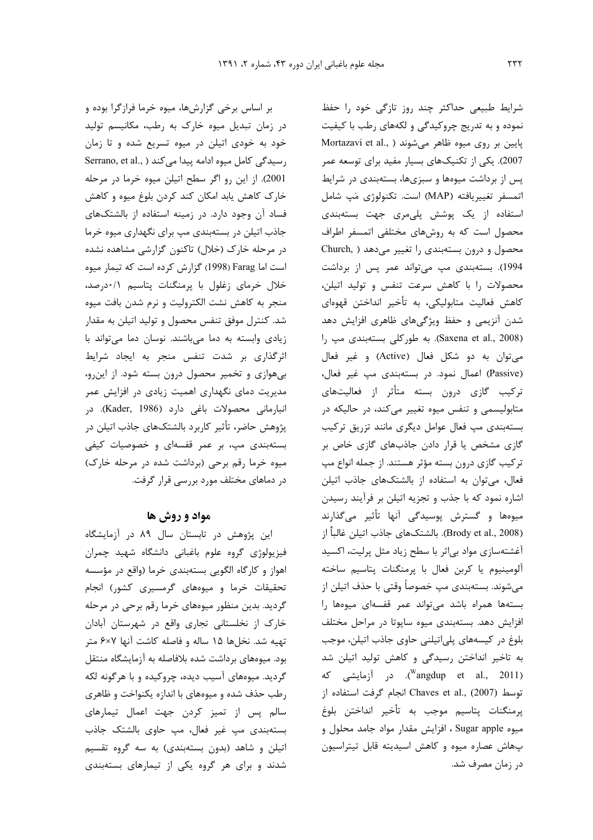بر اساس برخی گزارشها، میوه خرما فرازگرا بوده و در زمان تبدیل میوه خارک به رطب، مکانیسم تولید خود به خودی اتیلن در میوه تسریع شده و تا زمان Serrano, et al., ) رسیدگی کامل میوه ادامه پیدا می کند 2001). از این رو اگر سطح اتیلن میوه خرما در مرحله خارک کاهش یابد امکان کند کردن بلوغ میوه و کاهش فساد آن وجود دارد. در زمینه استفاده از بالشتکهای جاذب اتیلن در بستهبندی مپ برای نگهداری میوه خرما در مرحله خارک (خلال) تاکنون گزارشی مشاهده نشده است اما Farag (1998) گزارش کرده است که تیمار میوه خلال خرمای زغلول با پرمنگنات پتاسیم ۰/۱درصد، منجر به كاهش نشت الكتروليت و نرم شدن بافت ميوه شد. کنترل موفق تنفس محصول و تولید اتیلن به مقدار زیادی وابسته به دما میباشند. نوسان دما می تواند با اثرگذاری بر شدت تنفس منجر به ایجاد شرایط بی هوازی و تخمیر محصول درون بسته شود. از این رو، مدیریت دمای نگهداری اهمیت زیادی در افزایش عمر انبارمانی محصولات باغی دارد (Kader, 1986). در پژوهش حاضر، تأثیر کاربرد بالشتکهای جاذب اتیلن در بستهبندی مب، بر عمر قفسهای و خصوصیات کیفی میوه خرما رقم برحی (برداشت شده در مرحله خارک) در دماهای مختلف مورد بررسی قرار گرفت.

### مواد و روش ها

این پژوهش در تابستان سال ۸۹ در آزمایشگاه فیزیولوژی گروه علوم باغبانی دانشگاه شهید چمران اهواز و كارگاه الگويي بستهبندي خرما (واقع در مؤسسه تحقیقات خرما و میوههای گرمسیری کشور) انجام گردید. بدین منظور میوههای خرما رقم برحی در مرحله خارک از نخلستانی تجاری واقع در شهرستان آبادان تهیه شد. نخل ها ۱۵ ساله و فاصله کاشت آنها ۶×۶ متر بود. میوههای برداشت شده بلافاصله به آزمایشگاه منتقل گردید. میوههای آسیب دیده، چروکیده و با هرگونه لکه رطب حذف شده و میوههای با اندازه یکنواخت و ظاهری سالم پس از تمیز کردن جهت اعمال تیمارهای بستەبندى مپ غير فعال، مپ حاوى بالشتک جاذب اتیلن و شاهد (بدون بستهبندی) به سه گروه تقسیم شدند و برای هر گروه یکی از تیمارهای بستهبندی

شرایط طبیعی حداکثر چند روز تازگی خود را حفظ نموده و به تدریج چروکیدگی و لکههای رطب با کیفیت Mortazavi et al., ) بایین بر روی میوه ظاهر می شوند 2007). یکی از تکنیکهای بسیار مفید برای توسعه عمر پس از برداشت میوهها و سبزیها، بستهبندی در شرایط اتمسفر تغييريافته (MAP) است. تكنولوژي مَپ شامل استفاده از یک پوشش پلی مری جهت بستهبندی محصول است که به روشهای مختلفی اتمسفر اطراف محصول و درون بستهبندی را تغییر میدهد ( Church, 1994). بستهبندی مپ می تواند عمر پس از برداشت محصولات را با كاهش سرعت تنفس و توليد اتيلن، كاهش فعاليت متابوليكي، به تأخير انداختن قهوهاي شدن آنزیمی و حفظ ویژگیهای ظاهری افزایش دهد (Saxena et al., 2008). به طور کلی بستهبندی مپ را می توان به دو شکل فعال (Active) و غیر فعال (Passive) اعمال نمود. در بستهبندی مپ غیر فعال، ترکیب گازی درون بسته متأثر از فعالیتهای متابولیسمی و تنفس میوه تغییر میکند، در حالیکه در بستهبندی مپ فعال عوامل دیگری مانند تزریق ترکیب گازی مشخص یا قرار دادن جاذبهای گازی خاص بر ترکیب گازی درون بسته مؤثر هستند. از جمله انواع مپ فعال، می توان به استفاده از بالشتکهای جاذب اتیلن اشاره نمود که با جذب و تجزیه اتیلن بر فرآیند رسیدن میوهها و گسترش پوسیدگی آنها تأثیر میگذارند (Brody et al., 2008). بالشتكهاي جاذب اتيلن غالباً از آغشتهسازی مواد بی اثر با سطح زیاد مثل پرلیت، اکسید آلومینیوم یا کربن فعال با پرمنگنات پتاسیم ساخته میشوند. بستهبندی مپ خصوصاً وقتی با حذف اتیلن از بستهها همراه باشد مى تواند عمر قفسهاى ميوهها را افزایش دهد. بستهبندی میوه ساپوتا در مراحل مختلف بلوغ در کیسههای پلی|تیلنی حاوی جاذب اتیلن، موجب به تاخیر انداختن رسیدگی و کاهش تولید اتیلن شد در آزمایشی که (<sup>w</sup>angdup et al., 2011). توسط (2007) Chaves et al., (2007) انجام گرفت استفاده از پرمنگنات پتاسيم موجب به تأخير انداختن بلوغ ميوه Sugar apple ، افزايش مقدار مواد جامد محلول و پهاش عصاره ميوه و كاهش اسيديته قابل تيتراسيون در زمان مصرف شد.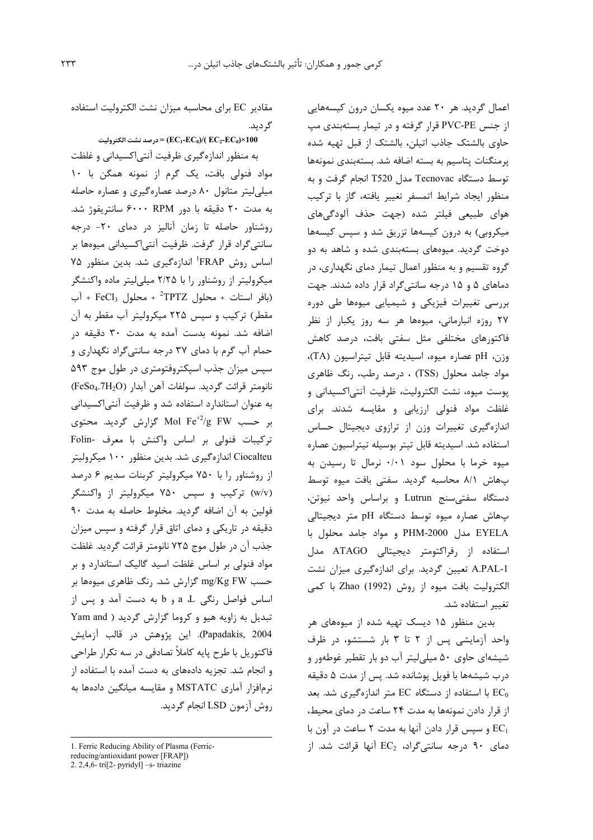اعمال گردید. هر ۲۰ عدد میوه یکسان درون کیسههایی از جنس PVC-PE قرار گرفته و در تیمار بستهبندی مپ حاوی بالشتک جاذب اتیلن، بالشتک از قبل تهیه شده یرمنگنات پتاسیم به بسته اضافه شد. بستهبندی نمونهها توسط دستگاه Tecnovac مدل T520 انجام گرفت و به منظور ايجاد شرايط اتمسفر تغيير يافته، كاز با تركيب هوای طبیعی فیلتر شده (جهت حذف آلودگیهای میکروبی) به درون کیسهها تزریق شد و سپس کیسهها دوخت گردید. میوههای بستهبندی شده و شاهد به دو گروه تقسیم و به منظور اعمال تیمار دمای نگهداری، در دماهای ۵ و ۱۵ درجه سانتی گراد قرار داده شدند. جهت بررسی تغییرات فیزیکی و شیمیایی میوهها طی دوره ۲۷ روزه انبارمانی، میوهها هر سه روز یکبار از نظر فاکتورهای مختلفی مثل سفتی بافت، درصد کاهش وزن، pH عصاره ميوه، اسيديته قابل تيتراسيون (TA)، مواد جامد محلول (TSS) ، درصد رطب، رنگ ظاهری يوست ميوه، نشت الكتروليت، ظرفيت آنتي|كسيداني و غلظت مواد فنولی ارزیابی و مقایسه شدند. برای اندازهگیری تغییرات وزن از ترازوی دیجیتال حساس استفاده شد. اسيديته قابل تيتر بوسيله تيتراسيون عصاره میوه خرما با محلول سود ۰/۰۱ نرمال تا رسیدن به بهاش ٨/١ محاسبه كرديد. سفتى بافت ميوه توسط دستگاه سفتى سنج Lutrun وبراساس واحد نيوتن، پهاش عصاره ميوه توسط دستگاه pH متر ديجيتالي EYELA مدل PHM-2000 و مواد جامد محلول با استفاده از رفراکتومتر دیجیتالی ATAGO مدل A.PAL-1 تعیین گردید. برای اندازهگیری میزان نشت الكتروليت بافت ميوه از روش (1992) Zhao با كمي تغيير استفاده شد.

بدین منظور ۱۵ دیسک تهیه شده از میوههای هر واحد آزمایشی پس از ۲ تا ۳ بار شستشو، در ظرف شیشهای حاوی ۵۰ میلی لیتر آب دو بار تقطیر غوطهور و درب شیشهها با فویل پوشانده شد. پس از مدت ۵ دقیقه با استفاده از دستگاه EC متر اندازهگیری شد. بعد  $EC_0$ از قرار دادن نمونهها به مدت ٢۴ ساعت در دمای محیط، و سیس قرار دادن آنها به مدت ۲ ساعت در آون با  $EC_1$ دمای ۹۰ درجه سانتی گراد،  $EC_2$  آنها قرائت شد. از

مقادیر EC برای محاسبه میزان نشت الکترولیت استفاده گر دید.

 $= (EC_1-EC_0)/(EC_2-EC_0)$ درصد نشت الكتروليت

به منظور اندازهگیری ظرفیت آنتی|کسیدانی و غلظت مواد فنولی بافت، یک گرم از نمونه همگن با ١٠ میلی لیتر متانول ۸۰ درصد عصارهگیری و عصاره حاصله به مدت ۲۰ دقیقه با دور RPM ۶۰۰۰ سانتریفوژ شد. روشناور حاصله تا زمان آنالیز در دمای ۲۰- درجه سانتیگراد قرار گرفت. ظرفیت آنتی|کسیدانی میوهها بر اساس روش FRAP اندازهگیری شد. بدین منظور ۷۵ میکرولیتر از روشناور را با ۲/۲۵ میلیلیتر ماده واکنشگر (بافر استات + محلول TPTZ<sup>+</sup> + محلول FeCl<sub>3</sub> + آب مقطر) ترکیب و سیس ۲۲۵ میکرولیتر آب مقطر به آن اضافه شد. نمونه بدست آمده به مدت ۳۰ دقیقه در حمام آب گرم با دمای ۳۷ درجه سانتی گراد نگهداری و سپس میزان جذب اسپکتروفتومتری در طول موج ۵۹۳ نانومتر قرائت گرديد. سولفات آهن آبدار (FeSo4.7H2O) به عنوان استاندارد استفاده شد و ظرفیت آنتی اکسیدانی بر حسب Mol Fe $^{+2}/$ g FW گزارش گردید. محتوی ترکیبات فنولی بر اساس واکنش با معرف -Folin Ciocalteu اندازهگیری شد. بدین منظور ۱۰۰ میکرولیتر از روشناور را با ۷۵۰ میکرولیتر کربنات سدیم ۶ درصد (w/v) ترکیب و سپس ۷۵۰ میکرولیتر از واکنشگر فولين به آن اضافه گرديد. مخلوط حاصله به مدت ٩٠ دقیقه در تاریکی و دمای اتاق قرار گرفته و سپس میزان جذب آن در طول موج ۷۲۵ نانومتر قرائت گرديد. غلظت مواد فنولی بر اساس غلظت اسید گالیک استاندارد و بر حسب mg/Kg FW گزارش شد. رنگ ظاهری میوهها بر اساس فواصل رنگی a ،L و b به دست آمد و پس از تبدیل به زاویه هیو و کروما گزارش گردید ( Yam and Papadakis, 2004). این پژوهش در قالب آزمایش فاکتوریل با طرح پایه کاملاً تصادفی در سه تکرار طراحی و انجام شد. تجزیه دادههای به دست آمده با استفاده از نرمافزار آماری MSTATC و مقایسه میانگین دادهها به روش آزمون LSD انجام گردید.

<sup>1.</sup> Ferric Reducing Ability of Plasma (Ferric-

reducing/antioxidant power [FRAP])

<sup>2. 2,4,6-</sup>tri $[2$ -pyridyl] -s-triazine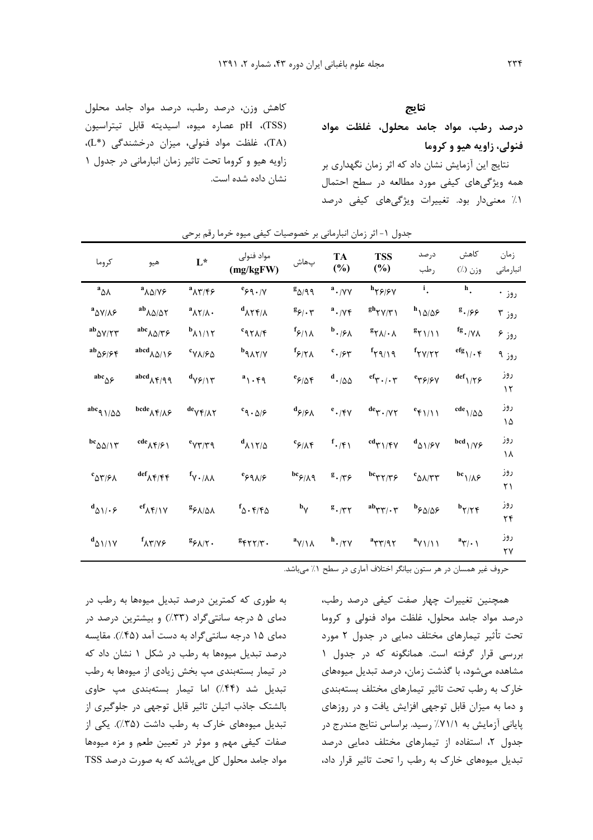#### نتايج

درصد رطب، مواد جامد محلول، غلظت مواد فنولی، زاویه هیو و کروما

نتایج این آزمایش نشان داد که اثر زمان نگهداری بر همه ویژگیهای کیفی مورد مطالعه در سطح احتمال ٠١٪ معنىدار بود. تغييرات ويژگىهاى كيفى درصد

كاهش وزن، درصد رطب، درصد مواد جامد محلول pH (TSS) عصاره ميوه، اسيديته قابل تيتراسيون (TA)، غلظت مواد فنولی، میزان درخشندگی (L\*)، زاویه هیو و کروما تحت تاثیر زمان انبارمانی در جدول ۱ نشان داده شده است.

| كروما                                                                                                                         | هيو                                                                                                    | $\mathbf{L}^{\star}$                                                                                     | مواد فنولى<br>(mg/kgFW)                                   | پھاش                                                     | TA<br>$(\%)$                      | <b>TSS</b><br>$(\%)$                                                                                                                     | درصد<br>رطب                                               | كاهش<br>$(\lambda)$ وزن            | زمان<br>انبارماني |
|-------------------------------------------------------------------------------------------------------------------------------|--------------------------------------------------------------------------------------------------------|----------------------------------------------------------------------------------------------------------|-----------------------------------------------------------|----------------------------------------------------------|-----------------------------------|------------------------------------------------------------------------------------------------------------------------------------------|-----------------------------------------------------------|------------------------------------|-------------------|
| $a_{\Delta\lambda}$                                                                                                           | $\mathbf{a}_{\Lambda\Delta/\mathsf{V}\mathcal{F}}$                                                     | $\prescript{a}\mathsf{A}\mathsf{Y}/\mathsf{F}\mathsf{F}$                                                 | $^e\!\varphi\,$ ۹ • /۷                                    | $g_{\Delta/\mathfrak{q}}$                                | $a$ ./YY                          | $h_{\gamma\varphi/\varphi\gamma}$                                                                                                        | $\mathbf{i}$ .                                            | $h_{\star}$                        | روز •             |
| $\mathrm{^{a} \Delta V/\Lambda \mathit{F}}$                                                                                   | ${}^{ab}\lambda\Delta/\Delta\Upsilon$                                                                  | $^{\rm a}$ $\wedge$ $\wedge$ $\wedge$ $\cdot$                                                            | $d_{\Lambda\Upsilon\Upsilon/\Lambda}$                     | $g_{\varphi/\,\boldsymbol{\cdot}\, \boldsymbol{\gamma}}$ | $a$ ./ $\gamma$ ۴                 |                                                                                                                                          | $^h$ \ $\Delta/\Delta$ $\varphi$                          | $g \cdot 166$                      | روز ۳             |
| ${}^{ab}\Delta \mathrm{V}/\mathrm{Y}\mathrm{Y}$                                                                               | $\mathrm{a\hskip-1pt b\hskip-1pt c}_{\hskip1pt\lambda\hskip1pt\Delta/\hskip1pt\gamma\hskip1pt\varphi}$ | $b_{\Lambda\backslash\backslash\backslash\uparrow}$                                                      | $c_{97\text{A/F}}$                                        | $f_{\frac{\epsilon}{2}}$                                 | $\mathfrak{b}.$ /۶ $\mathfrak{h}$ | $\mathsf{g}_{\mathsf{Y}\mathsf{A}/\mathsf{A}}$                                                                                           | $g_{\gamma\gamma/\gamma\gamma}$                           | fg. / $\mathsf{V}\Lambda$          | روز ۶             |
| ${}^{\bf ab}\! \Delta \mathfrak{F}/\mathfrak{F} \mathfrak{F}$                                                                 | abcd $_{\Lambda\Delta/\Upsilon}$                                                                       | $\ensuremath{^c\mathsf{V}}\xspace\wedge\!\ensuremath{/\mathsf{F}}\xspace\ensuremath{\mathsf{Q}}\xspace$  | $b_{\mathcal{A}\mathcal{N}}$                              | $f_{\varphi/\Upsilon\Lambda}$                            | $\cdot$ /۶۳                       | $f\gamma\gamma\gamma\gamma$                                                                                                              | $f_{\uparrow\upgamma/\upgamma\uparrow}$                   | $^{\rm efg}$ \/ $\cdot$ $\uparrow$ | روز ۹             |
| abc $_{\Delta \mathcal{S}}$                                                                                                   | $\mathbf{a}^{\text{bcd}}$ $\mathbf{A}^{\text{F}/\text{Q}}$                                             | $d_{V}\gamma/\gamma$                                                                                     | $a_1 \cdot \eta$                                          | $e_{\mathcal{F}/\Delta}$ ۴                               | $^{\rm d}$ - $/\Delta\Delta$      | $^{\text{ef}}\!\!\gamma\!\cdot\!/\!\cdot\!\tau$                                                                                          | $\ ^e$                                                    | $\mathrm{def}_{1/\uparrow\varphi}$ | روز<br>$\gamma$   |
| abc $\alpha$ 1/00                                                                                                             | $^{\text{bede}}$ $\! \! \wedge \! \gamma/\! \wedge \! \varphi$                                         | $^{\text{de}}$ Y۴/۸۲                                                                                     | $\mathbf{c}_{\mathfrak{q}}$ . $\mathfrak{g}/\mathfrak{s}$ | $d_{\beta/\beta\Lambda}$                                 | $^e$ $\cdot$ /۴۷                  | $^{\text{de}}\!\tau\cdot$ /77                                                                                                            | $e_{\uparrow}/\uparrow$                                   | $^{\rm cde}$ \/ $\!\Delta\Delta$   | روز<br>۱۵         |
| $^{\mathrm{bc}}$ $\Delta\Delta/\Upsilon$                                                                                      | $^{cde}$ $\wedge$ $\uparrow$ $\uparrow$ $\uparrow$                                                     | $\ensuremath{^\mathrm{e}}\xspace\gamma\ensuremath{\mathsf{y}}\xspace/\tau\ensuremath{\mathsf{y}}\xspace$ | $\mathbf{d}_{\lambda\mathbf{1}\mathbf{1}/\Delta}$         | $c_{\beta/\Lambda}$ ۴                                    | $f$ ./۴۱                          | $\mathop{\rm cd}\nolimits_{\Upsilon\mathop{\rm \backslash}}\gamma\mathop{\rm \mathfrak{p}}\nolimits_{\mathop{\rm \mathcal{V}}\nolimits}$ | $d_{\Delta 1/\mathfrak{F}\mathrm{V}}$                     | bcd $\frac{1}{\gamma}$             | روز<br>۱۸         |
| $\mathop{\rm {}^\mathrm{c} \!}\nolimits_{\Delta \mathop{\rm {}^\circ \!}\nolimits/\mathop{\rm {}^\circ \!}\nolimits \Lambda}$ | $\mathrm{def}_{\lambda}\!\!\uparrow\!\!\uparrow\!\!\uparrow\!\!\uparrow$                               | $\Lambda\Lambda\backslash\mathsf{Y}^1$                                                                   | $e_{\xi}$ ۹۸/۶                                            | $^{\mathrm{bc}}\!\varphi_{/\mathrm{A}}\mathrm{q}$        | $g_{\bullet/\uparrow\varphi}$     | $^{\mathrm{bc}}$ $\!$                                                                                                                    | $\ensuremath{^c}\xspace_{\Delta\lambda/\Upsilon\Upsilon}$ | bc $1/\lambda$ ۶                   | روز<br>٢١         |
| $d_{\Delta 1/\cdot \epsilon}$                                                                                                 | $\mathrm{^{ef}}_\mathrm{\Lambda} \mathrm{\mathfrak{r}/\mathrm{1}\mathrm{V}}$                           | $\mathsf{g}_{\beta\Lambda/\Delta\Lambda}$                                                                | ${}^f\!\Delta\cdot\mathfrak{r}/\mathfrak{r}\Delta$        | $\mathbf{b}_{\mathsf{V}}$                                | $g \cdot \pi r$                   | ${}^{ab}\!\tau\tau/\!\cdot\tau$                                                                                                          | $^{\rm b}$ ۶۵/۵۶                                          | $b_{\gamma/\gamma}$                | روز<br>۲۴         |
| $d_{\Delta 1/1}y$                                                                                                             | $\mathbf{f}_{\Lambda\Upsilon/\Upsilon}$                                                                | $\mathsf{g}_{\mathfrak{F}\mathsf{A}/\mathsf{Y}}$ .                                                       |                                                           | $\mathbf{a}_{\mathsf{Y}/\mathsf{Y}}$                     | $^{\mathrm{h}}\cdot$ /۲۷          | ${}^{\bf a} \tau \tau/ \mathfrak{q} \tau$                                                                                                | $a_{\gamma\gamma\gamma\gamma\gamma}$                      | $a_{\Upsilon/\,\cdot\,}$           | روز<br>۲۷         |
|                                                                                                                               |                                                                                                        |                                                                                                          |                                                           |                                                          |                                   |                                                                                                                                          |                                                           |                                    |                   |

جدول ١- اثر زمان انبارمانی پر خصوصیات کیفی میوه خرما رقم پرچی

حروف غیر همسان در هر ستون بیانگر اختلاف آماری در سطح ۱٪ میباشد.

به طوری که کمترین درصد تبدیل میوهها به رطب در دمای ۵ درجه سانتی گراد (۳۳٪) و بیشترین درصد در دمای ۱۵ درجه سانتی گراد به دست آمد (۴۵٪). مقایسه درصد تبدیل میوهها به رطب در شکل ۱ نشان داد که در تیمار بستهبندی مپ بخش زیادی از میوهها به رطب تبدیل شد (۴۴٪) اما تیمار بستهبندی مپ حاوی بالشتک جاذب اتیلن تاثیر قابل توجهی در جلوگیری از تبدیل میوههای خارک به رطب داشت (۳۵٪). یکی از صفات كيفى مهم و موثر در تعيين طعم و مزه ميوهها مواد جامد محلول کل می باشد که به صورت درصد TSS

همچنین تغییرات چهار صفت کیفی درصد رطب، درصد مواد جامد محلول، غلظت مواد فنولی و کروما تحت تأثیر تیمارهای مختلف دمایی در جدول ۲ مورد بررسی قرار گرفته است. همانگونه که در جدول ۱ مشاهده می شود، با گذشت زمان، درصد تبدیل میوههای خارک به رطب تحت تاثیر تیمارهای مختلف بستهبندی و دما به میزان قابل توجهی افزایش یافت و در روزهای پایانی آزمایش به ۷۱/۱٪ رسید. براساس نتایج مندرج در جدول ٢، استفاده از تيمارهاى مختلف دمايى درصد تبدیل میوههای خارک به رطب را تحت تاثیر قرار داد،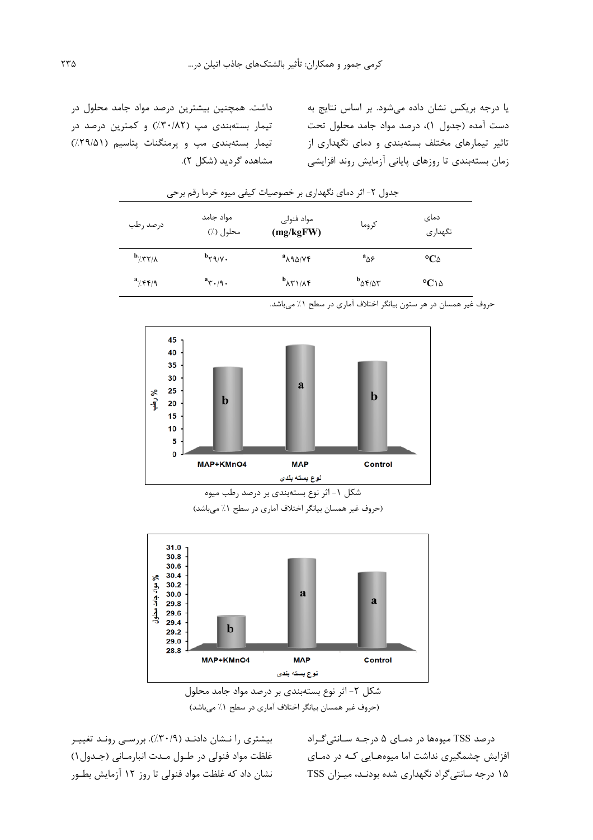یا درجه بریکس نشان داده می شود. بر اساس نتایج به دست آمده (جدول ۱)، درصد مواد جامد محلول تحت تاثیر تیمارهای مختلف بستهبندی و دمای نگهداری از زمان بستەبندى تا روزهاى پايانى آزمايش روند افزايشى

داشت. همچنین بیشترین درصد مواد جامد محلول در تیمار بستهبندی مپ (٣٠/٨٢٪) و کمترین درصد در تیمار بستهبندی مپ و پرمنگنات پتاسیم (۲۹/۵۱٪) مشاهده گردید (شکل ۲).

| درصد رطب                        | مواد جامد<br>محلول (٪)       | مواد فنولى<br>(mg/kgFW)                           | كروما                            | دمای<br>نگهداری   |
|---------------------------------|------------------------------|---------------------------------------------------|----------------------------------|-------------------|
| $b$ / $\gamma$ $\gamma/\lambda$ | $\mathbf{b}_{\mathbf{y}}$    | $a_{\lambda}$ 98/14                               | $a_{\Delta}^{\phantom{\dagger}}$ | $^{\circ}C\omega$ |
| $a^2/ff/9$                      | $a_{\Upsilon \cdot \beta}$ . | $\mathbf{b}_{\lambda \Upsilon \setminus \Lambda}$ | $b_{\Delta f/\Delta f}$          | $^{\circ}C$ 14    |

جدول ۲- اثر دمای نگهداری بر خصوصیات کیفی میوه خرما رقم برحی



حروف غیر همسان در هر ستون بیانگر اختلاف آماری در سطح ۱٪ میباشد.

(حروف غیر همسان بیانگر اختلاف آماری در سطح ١٪ می باشد)



شکل ۲- اثر نوع بستهبندی بر درصد مواد جامد محلول (حروف غیر همسان بیانگر اختلاف آماری در سطح ١٪ می باشد)

درصد TSS میوهها در دمـای ۵ درجـه سـانتی *گـ*راد افزایش چشمگیری نداشت اما میوههایی کـه در دمـای ۱۵ درجه سانتی گراد نگهداری شده بودنـد، میـزان TSS

بیشتری را نـشان دادنـد (۰٫۳۰/۹٪). بررسـی رونـد تغییـر غلظت مواد فنولي در طـول مـدت انبارمـاني (جـدول ١) نشان داد که غلظت مواد فنولی تا روز ۱۲ آزمایش بطـور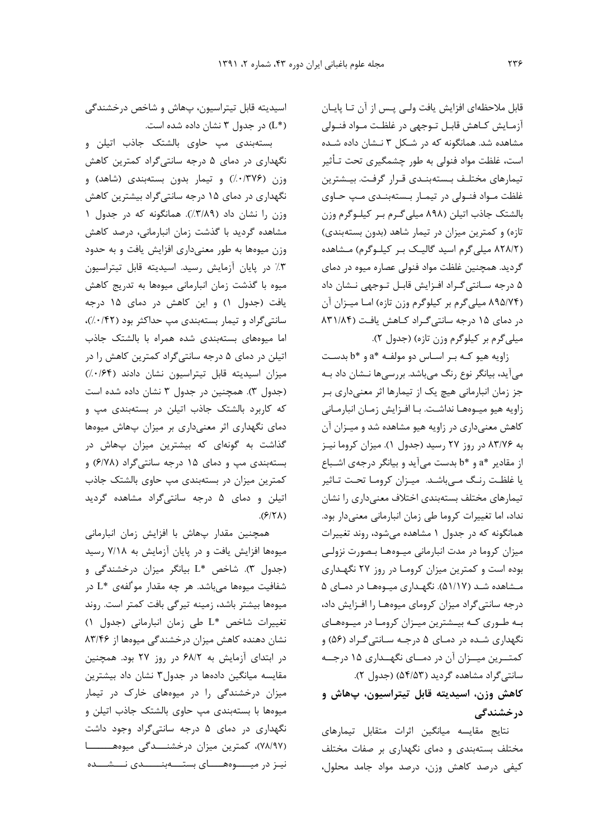قابل ملاحظهای افزایش یافت ولـی پـس از آن تـا پایـان آزمـايش كـاهش قابـل تــوجهي در غلظـت مــواد فنــولى مشاهده شد. همانگونه که در شکل ۳ نـشان داده شـده است، غلظت مواد فنولی به طور چشمگیری تحت تـأثیر تیمارهای مختلف بستهبندی قرار گرفت. بیشترین غلظت مـواد فنـولى در تيمـار بـستهبنـدى مـب حـاوى بالشتک جاذب اتیلن (۸۹۸ میلی گـرم بـر کیلـوگرم وزن تازه) و کمترین میزان در تیمار شاهد (بدون بستهبندی) (۸۲۸/۲ میلی گرم اسید گالیک بر کیلوگرم) مشاهده گردید. همچنین غلظت مواد فنولی عصاره میوه در دمای ۵ درجه سـانتي گـراد افـزايش قابـل تـوجهي نـشان داد (۸۹۵/۷۴ میلیگرم بر کیلوگرم وزن تازه) اما میزان آن در دمای ۱۵ درجه سانتی گراد کاهش یافت (۸۳۱/۸۴ ميلي گرم بر كيلوگرم وزن تازه) (جدول ٢).

زاویه هیو کـه بـر اسـاس دو مولفـه \*a و \*b بدسـت می آید، بیانگر نوع رنگ میباشد. بررسیها نـشان داد بـه جز زمان انبارمانی هیچ یک از تیمارها اثر معنیداری ب زاويه هيو ميوهها نداشت. با افزايش زمان انبارماني کاهش معنیداری در زاویه هیو مشاهده شد و میـزان آن به ۸۳/۷۶ در روز ۲۷ رسید (جدول ۱). میزان کروما نیز از مقادیر \*a و \*b بدست میآید و بیانگر درجهی اشباع یا غلظت رنگ میباشد. میزان کروما تحت تاثیر تیمارهای مختلف بستهبندی اختلاف معنیداری را نشان نداد، اما تغییرات کروما طی زمان انبارمانی معنیدار بود. همانگونه که در جدول ۱ مشاهده می شود، روند تغییرات میزان کروما در مدت انبارمانی میبوهها بیصورت نزولیی بوده است و کمترین میزان کروما در روز ۲۷ نگهداری مـشاهده شـد (۵۱/۱۷). نگهـداری میـوههـا در دمـای ۵ درجه سانتی گراد میزان کرومای میوهها را افزایش داد، به طوری که بیشترین میزان کروما در میوههای نگهداری شـده در دمـای ۵ درجـه سـانتی گـراد (۵۶) و کمتــرین میــزان آن در دمــای نگهــداری ۱۵ درجــه سانتی گراد مشاهده گردید (۵۴/۵۳) (جدول ۲).

## کاهش وزن، اسيديته قابل تيتراسيون، ڀهاش و در *خ*شندگ*ی*

نتايج مقايسه ميانگين اثرات متقابل تيمارهاى مختلف بستهبندی و دمای نگهداری بر صفات مختلف کیفی درصد کاهش وزن، درصد مواد جامد محلول،

اسیدیته قابل تیتراسیون، پهاش و شاخص درخشندگی (L\*) در جدول ۳ نشان داده شده است.

بستهبندی مپ حاوی بالشتک جاذب اتیلن و نگهداری در دمای ۵ درجه سانتیگراد کمترین کاهش وزن (۱۳۷۶٪) و تیمار بدون بستهبندی (شاهد) و نگهداری در دمای ۱۵ درجه سانتی گراد بیشترین کاهش وزن را نشان داد (٣/٨٩٪). همانگونه که در جدول ١ مشاهده گردید با گذشت زمان انبارمانی، درصد کاهش وزن میوهها به طور معنیداری افزایش یافت و به حدود ٣٪ در پایان آزمایش رسید. اسیدیته قابل تیتراسیون میوه با گذشت زمان انبارمانی میوهها به تدریج کاهش یافت (جدول ۱) و این کاهش در دمای ۱۵ درجه سانتی گراد و تیمار بستهبندی مپ حداکثر بود (۰/۴۲٪)، اما میوههای بستهبندی شده همراه با بالشتک جاذب اتیلن در دمای ۵ درجه سانتی گراد کمترین کاهش را در میزان اسیدیته قابل تیتراسیون نشان دادند (۶۴/۰/۶۴) (جدول ٣). همچنین در جدول ٣ نشان داده شده است که کاربرد بالشتک جاذب اتیلن در بستهبندی مپ و دمای نگهداری اثر معنیداری بر میزان پهاش میوهها گذاشت به گونهای که بیشترین میزان پهاش در بستهبندی مپ و دمای ۱۵ درجه سانتیگراد (۶/۷۸) و کمترین میزان در بستهبندی مپ حاوی بالشتک جاذب اتیلن و دمای ۵ درجه سانتی گراد مشاهده گردید  $(5/5)$ 

همچنین مقدار پهاش با افزایش زمان انبارمانی میوهها افزایش یافت و در پایان آزمایش به ۷/۱۸ رسید (جدول ۳). شاخص \*L بیانگر میزان درخشندگی و شفافیت میوهها میباشد. هر چه مقدار مو<sup>4</sup>لفهی \*L در میوهها بیشتر باشد، زمینه تیرگی بافت کمتر است. روند تغييرات شاخص \*L طي زمان انبارماني (جدول ١) نشان دهنده کاهش میزان درخشندگی میوهها از ۸۳/۴۶ در ابتدای آزمایش به ۶۸/۲ در روز ۲۷ بود. همچنین مقایسه میانگین دادهها در جدول۳ نشان داد بیشترین میزان درخشندگی را در میوههای خارک در تیمار میوهها با بستهبندی مپ حاوی بالشتک جاذب اتیلن و نگهداری در دمای ۵ درجه سانتی گراد وجود داشت (٧٨/٩٧)، کمترین میزان درخشنـــدگی میوههـــــــا نیـز در میــــوههــــای بستــــهبنـــــدی نـــشـــده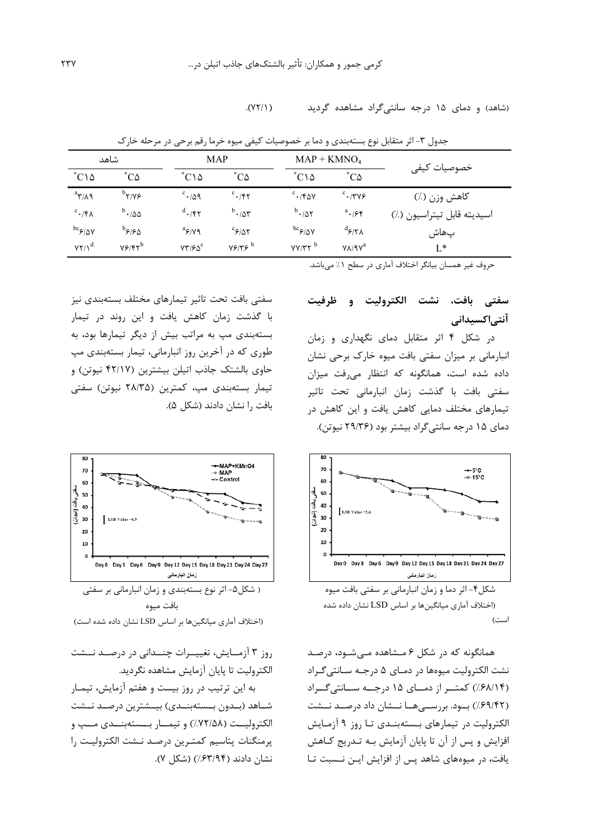$(11)$ (شاهد) و دمای ۱۵ درجه سانتی گراد مشاهده گردید

| شاهد                        |                                        | MAP                         |                            | $MAP + KMNO4$               |                                        |                            |  |
|-----------------------------|----------------------------------------|-----------------------------|----------------------------|-----------------------------|----------------------------------------|----------------------------|--|
| $^{\circ}C\setminus\Delta$  | $^{\circ}C\Delta$                      | $^{\circ}$ C۱۵              | $^{\circ}C\Delta$          | $^{\circ}$ C۱۵              | $^{\circ}C\Delta$                      | خصوصيات كيفي               |  |
| $a_{\Upsilon/\Lambda}$      | $\mathcal{N} \mathcal{N}^{\mathsf{d}}$ | $c \cdot \Delta q$          | $c \cdot 147$              | $c$ ./۴۵۷                   | $c$ . $\gamma \gamma \gamma$           | كاهش وزن (٪)               |  |
| $c \cdot$ /۴۸               | $^{\rm b}$ $\cdot$ /00                 | $d_{\bullet}/\mathfrak{kr}$ | $^b \cdot \rho \sim$       | $^b \cdot \mu \wedge$       | $a_{\bullet}$ /۶۴                      | اسيديته قابل تيتراسيون (٪) |  |
| $bc_{\mathcal{F}/\Delta V}$ | $^{\rm b}$ ۶۱۶۵                        | $a_{\frac{\varphi}{V}}$     | $c_{\mathcal{F}/\Delta Y}$ | $bc_{\mathcal{F}/\Delta V}$ | $d_{\mathfrak{F}/\mathfrak{Y}\Lambda}$ | پھاش                       |  |
| $YY/\lambda^d$              | $Y$ $Y$ $Y$ $Y$ $Y$ $Y$ $Y$            | $VT/FO^c$                   | Y5/75                      | $YY/TY^b$                   | $V\Lambda$ /9 $V^a$                    | $L^*$                      |  |

جدول ٣- اثر متقابل نوع بستهبندي و دما بر خصوصيات كيفي ميوه خرما رقم برحي در مرحله خارك

حروف غیر همسان بیانگر اختلاف آماری در سطح ۱٪ میباشد.

## سفتي بافت، نشت الكتروليت و ظرفيت آنتى|كسيدانى

در شکل ۴ اثر متقابل دمای نگهداری و زمان انبارمانی بر میزان سفتی بافت میوه خارک برحی نشان داده شده است، همانگونه که انتظار می رفت میزان سفتی بافت با گذشت زمان انبارمانی تحت تاثیر تیمارهای مختلف دمایی کاهش یافت و این کاهش در دمای ۱۵ درجه سانتی گراد بیشتر بود (۲۹/۳۶ نیوتن).



شکل۴- اثر دما و زمان انبارمانی بر سفتی بافت میوه (اختلاف آماری میانگینها بر اساس LSD نشان داده شده  $C^{\dagger}$ .  $\Box$ 

همانگونه که در شکل ۶ مـشاهده مــیشــود، درصــد نشت الکترولیت میوهها در دمـای ۵ درجـه سـانتی گـراد (۶۸/۱۴٪) کمتر از دمای ۱۵ درجه سانتی گراد (۶۹/۴۲٪) بود. بررســیهــا نــشان داد درصــد نــشت الکترولیت در تیمارهای بستهبنـدی تـا روز ۹ آزمـایش افزایش و پس از آن تا پایان آزمایش بـه تـدریج کـاهش یافت، در میوههای شاهد پس از افزایش ایـن نـسبت تـا

سفتی بافت تحت تاثیر تیمارهای مختلف بستهبندی نیز با گذشت زمان کاهش یافت و این روند در تیمار بستهبندی مپ به مراتب بیش از دیگر تیمارها بود، به طوری که در آخرین روز انبارمانی، تیمار بستهبندی مپ حاوی بالشتک جاذب اتیلن بیشترین (۴۲/۱۷ نیوتن) و تیمار بستەبندى مپ، كمترین (۲۸/۳۵ نیوتن) سفتى بافت را نشان دادند (شکل ۵).



(اختلاف آماری میانگینها بر اساس LSD نشان داده شده است)

روز ۳ آزمـایش، تغییــرات چنــدانی در درصــد نــشت الكتروليت تا پايان آزمايش مشاهده نگرديد.

به این ترتیب در روز بیست و هفتم آزمایش، تیمـار شـاهد (بـدون بـستهبنـدى) بيـشترين درصـد نـشت الكتروليــت (٧٢/٥٨٪) و تيمــار بـــستهبنــدي مــپ و پرمنگنات پتاسيم كمتـرين درصـد نـشت الكتروليـت را نشان دادند (۶۳/۹۴٪) (شکل ۷).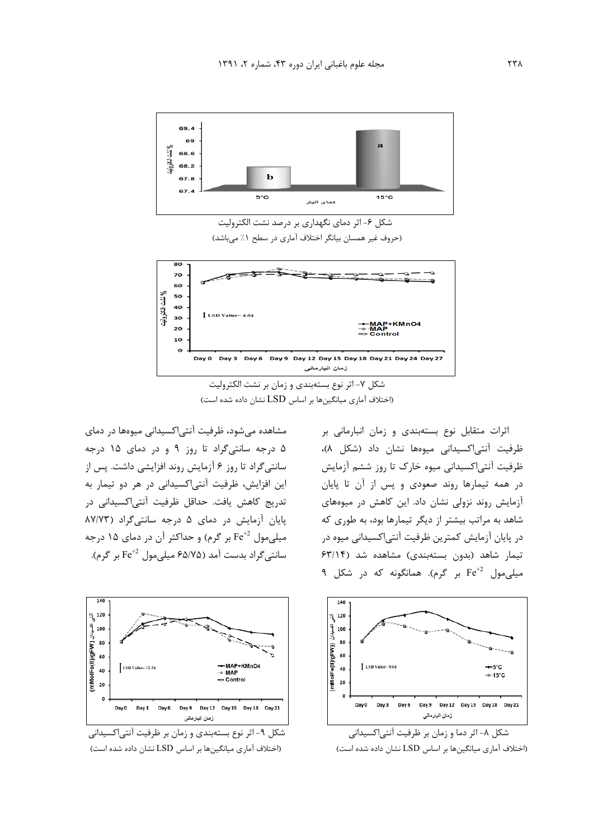

شکل ۶- اثر دمای نگهداری بر درصد نشت الکترولیت (حروف غیر همسان بیانگر اختلاف آماری در سطح ١/ می باشد)



شکل ۷- اثر نوع بستهبندی و زمان بر نشت الکترولیت (اختلاف آماری میانگینها بر اساس LSD نشان داده شده است)

مشاهده میشود، ظرفیت آنتیاکسیدانی میوهها در دمای ۵ درجه سانتی گراد تا روز ۹ و در دمای ۱۵ درجه سانتے گراد تا روز ۶ آزمایش روند افزایشی داشت. پس از این افزایش، ظرفیت آنتی اکسیدانی در هر دو تیمار به تدریج کاهش یافت. حداقل ظرفیت آنتی|کسیدانی در یایان آزمایش در دمای ۵ درجه سانتی گراد (۸۷/۷۳ میلی مول  $\rm Fe^{+2}$  بر گرم) و حداکثر آن در دمای ۱۵ درجه سانتے گراد بدست آمد (۶۵/۷۵ میلے مول  $\rm{Fe}^{+2}$  بر گرم).



شکل ۹- اثر نوع بستهبندی و زمان بر ظرفیت آنتیاکسیدانی (اختلاف آماری میانگینها بر اساس LSD نشان داده شده است)

اثرات متقابل نوع بستهبندی و زمان انبارمانی بر ظرفيت آنتى اكسيدانى ميوهها نشان داد (شكل ٨)، ظرفیت آنتے اکسیدانی میوہ خارک تا روز ششم آزمایش در همه تیمارها روند صعودی و پس از آن تا پایان آزمایش روند نزولی نشان داد. این کاهش در میوههای شاهد به مراتب بیشتر از دیگر تیمارها بود، به طوری که در پایان آزمایش کمترین ظرفیت آنتی|کسیدانی میوه در تیمار شاهد (بدون بستهبندی) مشاهده شد (۶۳/۱۴ میلے مول  $\mathrm{Fe}^{+2}$  بر گرم). همانگونه که در شکل ۹



شکل ۸– اثر دما و زمان بر ظرفیت آنتی|کسیدانی (اختلاف آماری میانگینها بر اساس LSD نشان داده شده است)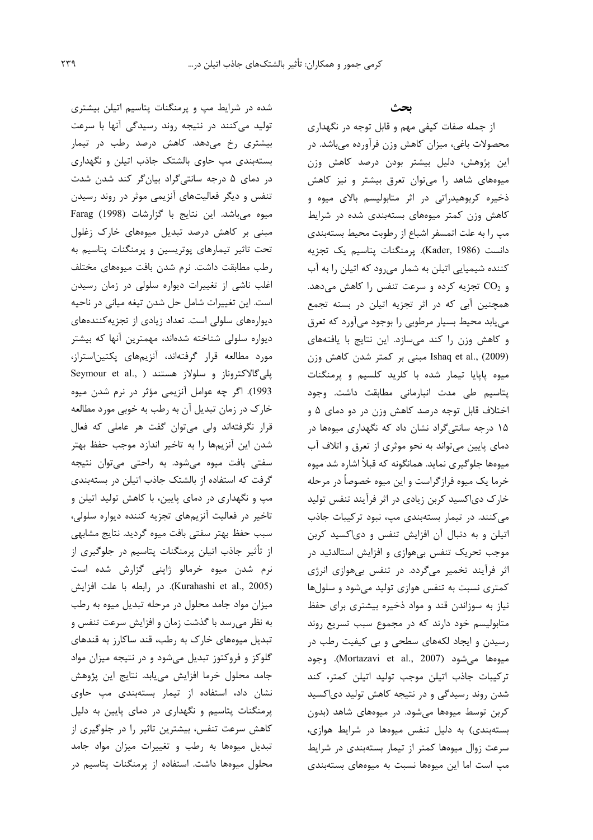شده در شرایط مپ و پرمنگنات پتاسیم اتیلن بیشتری تولید میکنند در نتیجه روند رسیدگی آنها با سرعت بیشتری رخ میدهد. کاهش درصد رطب در تیمار بستهبندی مپ حاوی بالشتک جاذب اتیلن و نگهداری در دمای ۵ درجه سانتیگراد بیانگر کند شدن شدت تنفس و دیگر فعالیتهای آنزیمی موثر در روند رسیدن میوہ می باشد. این نتایج با گزارشات (1998) Farag مبنی بر کاهش درصد تبدیل میوههای خارک زغلول تحت تاثیر تیمارهای پوتریسین و پرمنگنات پتاسیم به رطب مطابقت داشت. نرم شدن بافت میوههای مختلف اغلب ناشی از تغییرات دیواره سلولی در زمان رسیدن است. این تغییرات شامل حل شدن تیغه میانی در ناحیه دیوارههای سلولی است. تعداد زیادی از تجزیه کنندههای دیواره سلولی شناخته شدهاند، مهمترین آنها که بیشتر مورد مطالعه قرار گرفتهاند، آنزیمهای پکتیناستراز، پلیگالاکتروناز و سلولاز هستند ( Seymour et al., 1993). اگر چه عوامل آنزیمی مؤثر در نرم شدن میوه خارک در زمان تبدیل آن به رطب به خوبی مورد مطالعه قرار نگرفتهاند ولی میتوان گفت هر عاملی که فعال شدن این آنزیمها را به تاخیر اندازد موجب حفظ بهتر سفتی بافت میوه میشود. به راحتی میتوان نتیجه گرفت که استفاده از بالشتک جاذب اتیلن در بستهبندی مپ و نگهداری در دمای پایین، با کاهش تولید اتیلن و تاخير در فعاليت آنزيمهاى تجزيه كننده ديواره سلولى، سبب حفظ بهتر سفتى بافت ميوه گرديد. نتايج مشابهي از تأثیر جاذب اتیلن پرمنگنات پتاسیم در جلوگیری از نرم شدن میوه خرمالو ژاپنی گزارش شده است (Kurahashi et al., 2005). در رابطه با علت افزايش میزان مواد جامد محلول در مرحله تبدیل میوه به رطب به نظر میرسد با گذشت زمان و افزایش سرعت تنفس و تبدیل میوههای خارک به رطب، قند ساکارز به قندهای گلوکز و فروکتوز تبدیل میشود و در نتیجه میزان مواد جامد محلول خرما افزايش مىيابد. نتايج اين پژوهش نشان داد، استفاده از تیمار بستهبندی مب حاوی پرمنگنات پتاسیم و نگهداری در دمای پایین به دلیل کاهش سرعت تنفس، بیشترین تاثیر را در جلوگیری از تبدیل میوهها به رطب و تغییرات میزان مواد جامد محلول میوهها داشت. استفاده از پرمنگنات پتاسیم در

ىحث

از جمله صفات کیفی مهم و قابل توجه در نگهداری محصولات باغی، میزان کاهش وزن فرآورده میباشد. در این پژوهش، دلیل بیشتر بودن درصد کاهش وزن میوههای شاهد را می توان تعرق بیشتر و نیز کاهش ذخیره کربوهیدراتی در اثر متابولیسم بالای میوه و کاهش وزن کمتر میوههای بستهبندی شده در شرایط مپ را به علت اتمسفر اشباع از رطوبت محیط بستهبندی دانست (Kader, 1986). پرمنگنات پتاسیم یک تجزیه کننده شیمیایی اتیلن به شمار میرود که اتیلن را به آب و CO2 تجزیه کرده و سرعت تنفس را کاهش میدهد. همچنین آبی که در اثر تجزیه اتیلن در بسته تجمع می یابد محیط بسیار مرطوبی را بوجود میآورد که تعرق و كاهش وزن را كند مىسازد. اين نتايج با يافتههاى Ishaq et al., (2009) مبنی بر کمتر شدن کاهش وزن میوه پاپایا تیمار شده با کلرید کلسیم و پرمنگنات پتاسيم طي مدت انبارماني مطابقت داشت. وجود اختلاف قابل توجه درصد كاهش وزن در دو دماي ۵ و ۱۵ درجه سانتی گراد نشان داد که نگهداری میوهها در دمای پایین میتواند به نحو موثری از تعرق و اتلاف آب میوهها جلوگیری نماید. همانگونه که قبلاً اشاره شد میوه خرما یک میوه فرازگراست و این میوه خصوصاً در مرحله خارک دی|کسید کربن زیادی در اثر فرآیند تنفس تولید می کنند. در تیمار بستهبندی مپ، نبود ترکیبات جاذب اتیلن و به دنبال آن افزایش تنفس و دیاکسید کربن موجب تحریک تنفس بی هوازی و افزایش استالدئید در اثر فرآیند تخمیر میگردد. در تنفس بیهوازی انرژی کمتری نسبت به تنفس هوازی تولید می شود و سلولها نیاز به سوزاندن قند و مواد ذخیره بیشتری برای حفظ متابولیسم خود دارند که در مجموع سبب تسریع روند رسیدن و ایجاد لکههای سطحی و بی کیفیت رطب در ميوهها مي شود (Mortazavi et al., 2007). وجود تركيبات جاذب اتيلن موجب توليد اتيلن كمتر، كند شدن روند رسیدگی و در نتیجه کاهش تولید دیاکسید کربن توسط میوهها میشود. در میوههای شاهد (بدون بستهبندی) به دلیل تنفس میوهها در شرایط هوازی، سرعت زوال میوهها کمتر از تیمار بستهبندی در شرایط مپ است اما این میوهها نسبت به میوههای بستهبندی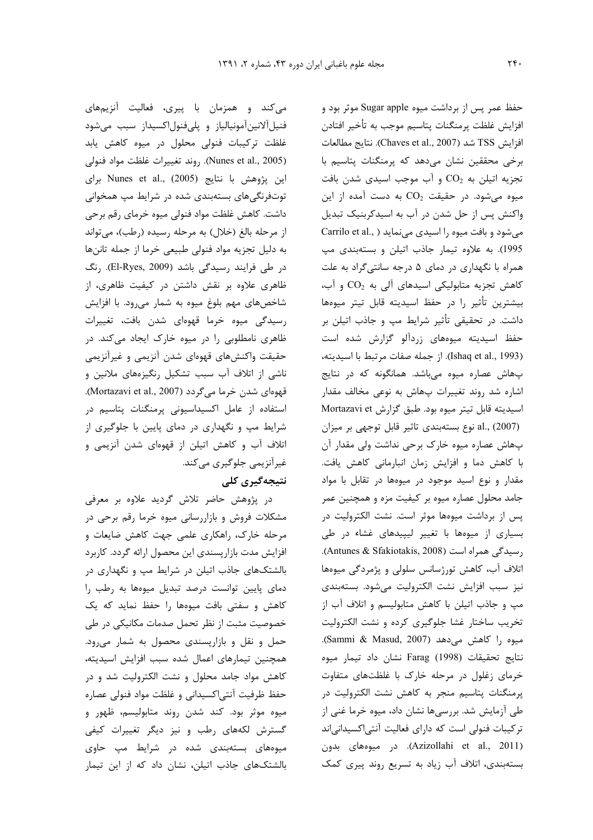می کند و همزمان با پیری، فعالیت آنزیمهای فنیلآلانینآمونیالیاز و پلیفنولاکسیداز سبب میشود غلظت ترکیبات فنولی محلول در میوه کاهش یابد (Nunes et al., 2005). روند تغييرات غلظت مواد فنولي این پژوهش با نتایج (Nunes et al., (2005 برای توتفرنگیهای بستهبندی شده در شرایط مپ همخوانی داشت. کاهش غلظت مواد فنولی میوه خرمای رقم برحی از مرحله بالغ (خلال) به مرحله رسیده (رطب)، میتواند به دليل تجزيه مواد فنولى طبيعى خرما از جمله تاننها در طی فرایند رسیدگی باشد (El-Ryes, 2009). رنگ ظاهری علاوه بر نقش داشتن در کیفیت ظاهری، از شاخصهای مهم بلوغ میوه به شمار می ود. با افزایش رسیدگی میوه خرما قهوهای شدن بافت، تغییرات ظاهری نامطلوبی را در میوه خارک ایجاد میکند. در حقیقت واکنشهای قهوهای شدن آنزیمی و غیرآنزیمی ناشی از اتلاف آب سبب تشکیل رنگیزههای ملانین و قهوهای شدن خرما میگردد (Mortazavi et al., 2007). استفاده از عامل اکسیداسیونی پرمنگنات پتاسیم در شرایط مپ و نگهداری در دمای پایین با جلوگیری از اتلاف آب و کاهش اتیلن از قهوهای شدن آنزیمی و غیرآنزیمی جلوگیری میکند.

## نتیجەگیری کلی

در پژوهش حاضر تلاش گردید علاوه بر معرفی مشکلات فروش و بازاررسانی میوه خرما رقم برحی در مرحله خارک، راهکاری علمی جهت کاهش ضایعات و افزایش مدت بازاریسندی این محصول ارائه گردد. کاربرد بالشتکهای جاذب اتیلن در شرایط مپ و نگهداری در دمای پایین توانست درصد تبدیل میوهها به رطب را کاهش و سفتی بافت میوهها را حفظ نماید که یک خصوصیت مثبت از نظر تحمل صدمات مکانیکی در طی حمل و نقل و بازارپسندی محصول به شمار می رود. همچنین تیمارهای اعمال شده سبب افزایش اسیدیته، کاهش مواد جامد محلول و نشت الکترولیت شد و در حفظ ظرفيت آنتى اكسيداني و غلظت مواد فنولى عصاره ميوه موثر بود. كند شدن روند متابوليسم، ظهور و گسترش لکههای رطب و نیز دیگر تغییرات کیفی میوههای بستهبندی شده در شرایط مپ حاوی بالشتکهای جاذب اتیلن، نشان داد که از این تیمار

حفظ عمر پس از برداشت میوه Sugar apple موثر بود و افزايش غلظت يرمنگنات يتاسيم موجب به تأخير افتادن افزايش TSS شد (Chaves et al., 2007). نتايج مطالعات برخی محققین نشان می دهد که پرمنگنات پتاسیم با تجزيه اتيلن به  $\text{CO}_2$  و آب موجب اسيدى شدن بافت میوه می شود. در حقیقت  $\text{CO}_2$  به دست آمده از این واکنش پس از حل شدن در آب به اسیدکربنیک تبدیل Carrilo et al., ) میشود و بافت میوه را اسیدی می نماید 1995). به علاوه تيمار جاذب اتيلن و بستهبندى مپ همراه با نگهداری در دمای ۵ درجه سانتی گراد به علت کاهش تجزیه متابولیکی اسیدهای آلی به  $\text{CO}_2$  و آب، بيشترين تأثير را در حفظ اسيديته قابل تيتر ميوهها داشت. در تحقیقی تأثیر شرایط مپ و جاذب اتیلن بر حفظ اسیدیته میوههای زردآلو گزارش شده است (Ishaq et al., 1993). از جمله صفات مرتبط با اسيديته، پهاش عصاره ميوه مى باشد. همانگونه كه در نتايج اشاره شد روند تغییرات پهاش به نوعی مخالف مقدار اسيديته قابل تيتر ميوه بود. طبق گزارش Mortazavi et al., (2007) نوع بستهبندی تاثیر قابل توجهی بر میزان پھاش عصارہ میوہ خارک برحی نداشت ولی مقدار آن با كاهش دما و افزايش زمان انبارماني كاهش يافت. مقدار و نوع اسید موجود در میوهها در تقابل با مواد جامد محلول عصاره میوه بر کیفیت مزه و همچنین عمر پس از برداشت میوهها موثر است. نشت الکترولیت در بسیاری از میوهها با تغییر لیپیدهای غشاء در طی رسیدگی همراه است (Antunes & Sfakiotakis, 2008). اتلاف آب، کاهش تورژسانس سلولی و پژمردگی میوهها نيز سبب افزايش نشت الكتروليت مى شود. بستهبندى مپ و جاذب اتیلن با کاهش متابولیسم و اتلاف آب از تخریب ساختار غشا جلوگیری کرده و نشت الکترولیت ميوه را كاهش مى دهد (Sammi & Masud, 2007). نتايج تحقيقات (Farag (1998 نشان داد تيمار ميوه خرمای زغلول در مرحله خارک با غلظتهای متفاوت یرمنگنات یتاسیم منجر به کاهش نشت الکترولیت در طی آزمایش شد. بررسیها نشان داد، میوه خرما غنی از ترکیبات فنولی است که دارای فعالیت آنتی اکسیدانی اند (Azizollahi et al., 2011). در میوههای بدون بستهبندی، اتلاف آب زیاد به تسریع روند پیری کمک